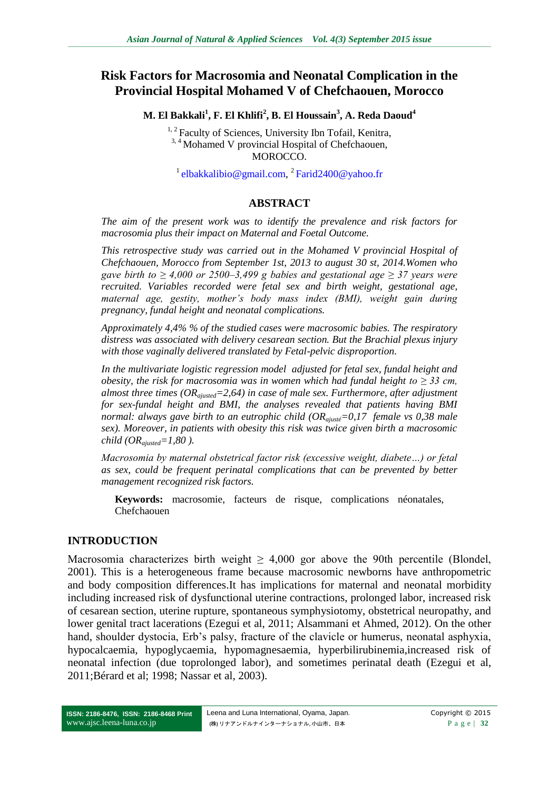# **Risk Factors for Macrosomia and Neonatal Complication in the Provincial Hospital Mohamed V of Chefchaouen, Morocco**

**M. El Bakkali<sup>1</sup> , F. El Khlifi<sup>2</sup> , B. El Houssain<sup>3</sup> , A. Reda Daoud<sup>4</sup>**

<sup>1, 2</sup> Faculty of Sciences, University Ibn Tofail, Kenitra, <sup>3, 4</sup> Mohamed V provincial Hospital of Chefchaouen, MOROCCO.

<sup>1</sup> [elbakkalibio@gmail.com,](mailto:elbakkalibio@gmail.com) <sup>2</sup> [Farid2400@yahoo.fr](mailto:Farid2400@yahoo.fr)

### **ABSTRACT**

*The aim of the present work was to identify the prevalence and risk factors for macrosomia plus their impact on Maternal and Foetal Outcome.*

*This retrospective study was carried out in the Mohamed V provincial Hospital of Chefchaouen, Morocco from September 1st, 2013 to august 30 st, 2014.Women who gave birth to ≥ 4,000 or 2500–3,499 g babies and gestational age ≥ 37 years were recruited. Variables recorded were fetal sex and birth weight, gestational age, maternal age, gestity, mother's body mass index (BMI), weight gain during pregnancy, fundal height and neonatal complications.* 

*Approximately 4,4% % of the studied cases were macrosomic babies. The respiratory distress was associated with delivery cesarean section. But the Brachial plexus injury with those vaginally delivered translated by Fetal-pelvic disproportion.*

*In the multivariate logistic regression model adjusted for fetal sex, fundal height and obesity, the risk for macrosomia was in women which had fundal height to*  $\geq$  *33 cm, almost three times (ORajusted=2,64) in case of male sex. Furthermore, after adjustment for sex-fundal height and BMI, the analyses revealed that patients having BMI normal: always gave birth to an eutrophic child (ORajusté=0,17 female vs 0,38 male sex). Moreover, in patients with obesity this risk was twice given birth a macrosomic child (ORajusted=1,80 ).* 

*Macrosomia by maternal obstetrical factor risk (excessive weight, diabete…) or fetal as sex, could be frequent perinatal complications that can be prevented by better management recognized risk factors.*

**Keywords:** macrosomie, facteurs de risque, complications néonatales, Chefchaouen

### **INTRODUCTION**

Macrosomia characterizes birth weight  $\geq 4,000$  gor above the 90th percentile (Blondel, 2001). This is a heterogeneous frame because macrosomic newborns have anthropometric and body composition differences.It has implications for maternal and neonatal morbidity including increased risk of dysfunctional uterine contractions, prolonged labor, increased risk of cesarean section, uterine rupture, spontaneous symphysiotomy, obstetrical neuropathy, and lower genital tract lacerations (Ezegui et al, 2011; Alsammani et Ahmed, 2012). On the other hand, shoulder dystocia, Erb's palsy, fracture of the clavicle or humerus, neonatal asphyxia, hypocalcaemia, hypoglycaemia, hypomagnesaemia, hyperbilirubinemia,increased risk of neonatal infection (due toprolonged labor), and sometimes perinatal death (Ezegui et al, 2011;Bérard et al; 1998; Nassar et al, 2003).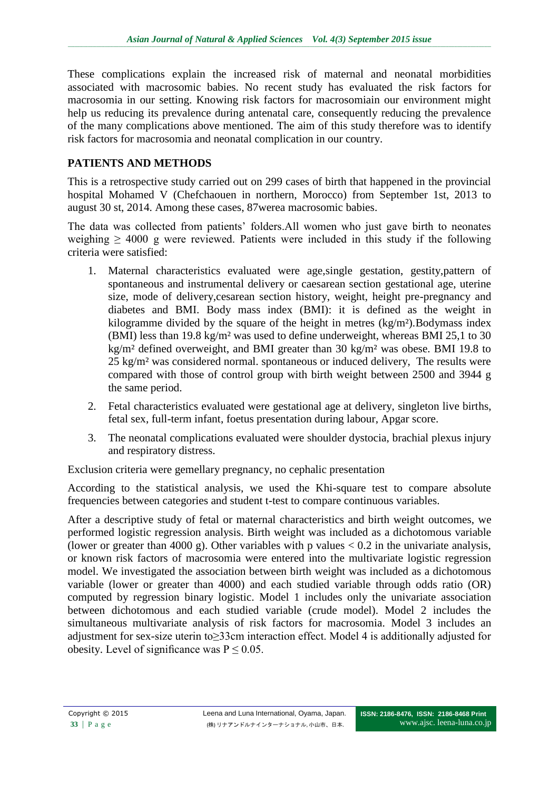These complications explain the increased risk of maternal and neonatal morbidities associated with macrosomic babies. No recent study has evaluated the risk factors for macrosomia in our setting. Knowing risk factors for macrosomiain our environment might help us reducing its prevalence during antenatal care, consequently reducing the prevalence of the many complications above mentioned. The aim of this study therefore was to identify risk factors for macrosomia and neonatal complication in our country.

# **PATIENTS AND METHODS**

This is a retrospective study carried out on 299 cases of birth that happened in the provincial hospital Mohamed V (Chefchaouen in northern, Morocco) from September 1st, 2013 to august 30 st, 2014. Among these cases, 87werea macrosomic babies.

The data was collected from patients' folders.All women who just gave birth to neonates weighing  $\geq 4000$  g were reviewed. Patients were included in this study if the following criteria were satisfied:

- 1. Maternal characteristics evaluated were age,single gestation, gestity,pattern of spontaneous and instrumental delivery or caesarean section gestational age, uterine size, mode of delivery,cesarean section history, weight, height pre-pregnancy and diabetes and BMI. Body mass index (BMI): it is defined as the weight in kilogramme divided by the square of the height in metres (kg/m²).Bodymass index (BMI) less than 19.8 kg/m² was used to define underweight, whereas BMI 25,1 to 30 kg/m² defined overweight, and BMI greater than 30 kg/m² was obese. BMI 19.8 to 25 kg/m² was considered normal. spontaneous or induced delivery, The results were compared with those of control group with birth weight between 2500 and 3944 g the same period.
- 2. Fetal characteristics evaluated were gestational age at delivery, singleton live births, fetal sex, full-term infant, foetus presentation during labour, Apgar score.
- 3. The neonatal complications evaluated were shoulder dystocia, brachial plexus injury and respiratory distress.

Exclusion criteria were gemellary pregnancy, no cephalic presentation

According to the statistical analysis, we used the Khi-square test to compare absolute frequencies between categories and student t-test to compare continuous variables.

After a descriptive study of fetal or maternal characteristics and birth weight outcomes, we performed logistic regression analysis. Birth weight was included as a dichotomous variable (lower or greater than 4000 g). Other variables with p values  $< 0.2$  in the univariate analysis, or known risk factors of macrosomia were entered into the multivariate logistic regression model. We investigated the association between birth weight was included as a dichotomous variable (lower or greater than 4000) and each studied variable through odds ratio (OR) computed by regression binary logistic. Model 1 includes only the univariate association between dichotomous and each studied variable (crude model). Model 2 includes the simultaneous multivariate analysis of risk factors for macrosomia. Model 3 includes an adjustment for sex-size uterin to≥33cm interaction effect. Model 4 is additionally adjusted for obesity. Level of significance was  $P \le 0.05$ .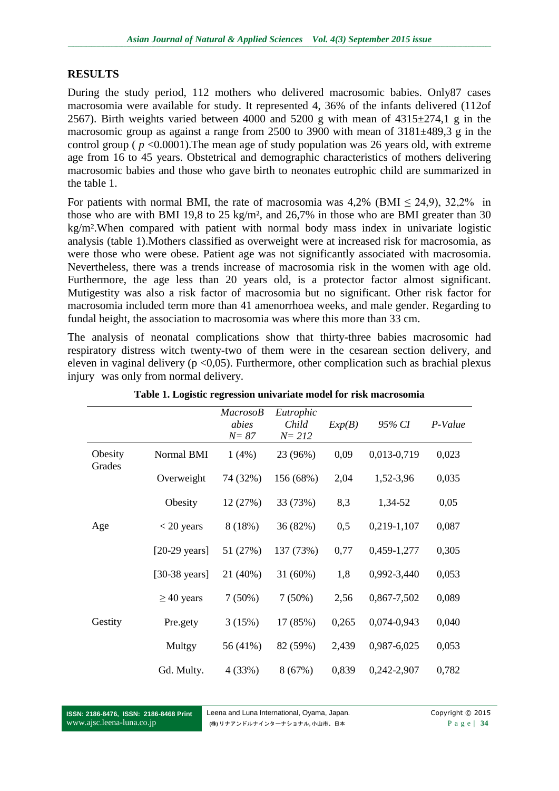# **RESULTS**

During the study period, 112 mothers who delivered macrosomic babies. Only87 cases macrosomia were available for study. It represented 4, 36% of the infants delivered (112of 2567). Birth weights varied between 4000 and 5200 g with mean of  $4315\pm274$ , g in the macrosomic group as against a range from 2500 to 3900 with mean of 3181±489,3 g in the control group ( $p < 0.0001$ ). The mean age of study population was 26 years old, with extreme age from 16 to 45 years. Obstetrical and demographic characteristics of mothers delivering macrosomic babies and those who gave birth to neonates eutrophic child are summarized in the table 1.

For patients with normal BMI, the rate of macrosomia was  $4.2\%$  (BMI  $\leq 24.9$ ),  $32.2\%$  in those who are with BMI 19,8 to 25 kg/m², and 26,7% in those who are BMI greater than 30 kg/m².When compared with patient with normal body mass index in univariate logistic analysis (table 1).Mothers classified as overweight were at increased risk for macrosomia, as were those who were obese. Patient age was not significantly associated with macrosomia. Nevertheless, there was a trends increase of macrosomia risk in the women with age old. Furthermore, the age less than 20 years old, is a protector factor almost significant. Mutigestity was also a risk factor of macrosomia but no significant. Other risk factor for macrosomia included term more than 41 amenorrhoea weeks, and male gender. Regarding to fundal height, the association to macrosomia was where this more than 33 cm.

The analysis of neonatal complications show that thirty-three babies macrosomic had respiratory distress witch twenty-two of them were in the cesarean section delivery, and eleven in vaginal delivery ( $p < 0.05$ ). Furthermore, other complication such as brachial plexus injury was only from normal delivery.

|                   |                         | <i>MacrosoB</i><br>abies<br>$N = 87$ | Eutrophic<br>Child<br>$N = 212$ | Exp(B) | 95% CI      | P-Value |
|-------------------|-------------------------|--------------------------------------|---------------------------------|--------|-------------|---------|
| Obesity<br>Grades | Normal BMI              | 1(4%)                                | 23 (96%)                        | 0,09   | 0,013-0,719 | 0,023   |
|                   | Overweight              | 74 (32%)                             | 156 (68%)                       | 2,04   | 1,52-3,96   | 0,035   |
|                   | Obesity                 | 12 (27%)                             | 33 (73%)                        | 8,3    | 1,34-52     | 0,05    |
| Age               | $<$ 20 years            | 8(18%)                               | 36 (82%)                        | 0,5    | 0,219-1,107 | 0,087   |
|                   | $[20-29 \text{ years}]$ | 51 (27%)                             | 137 (73%)                       | 0,77   | 0,459-1,277 | 0,305   |
|                   | [ $30-38$ years]        | 21 (40%)                             | 31 (60%)                        | 1,8    | 0,992-3,440 | 0,053   |
|                   | $\geq$ 40 years         | $7(50\%)$                            | $7(50\%)$                       | 2,56   | 0,867-7,502 | 0,089   |
| Gestity           | Pre.gety                | 3(15%)                               | 17 (85%)                        | 0,265  | 0,074-0,943 | 0,040   |
|                   | Multgy                  | 56 (41%)                             | 82 (59%)                        | 2,439  | 0,987-6,025 | 0,053   |
|                   | Gd. Multy.              | 4 (33%)                              | 8(67%)                          | 0,839  | 0,242-2,907 | 0,782   |

**Table 1. Logistic regression univariate model for risk macrosomia**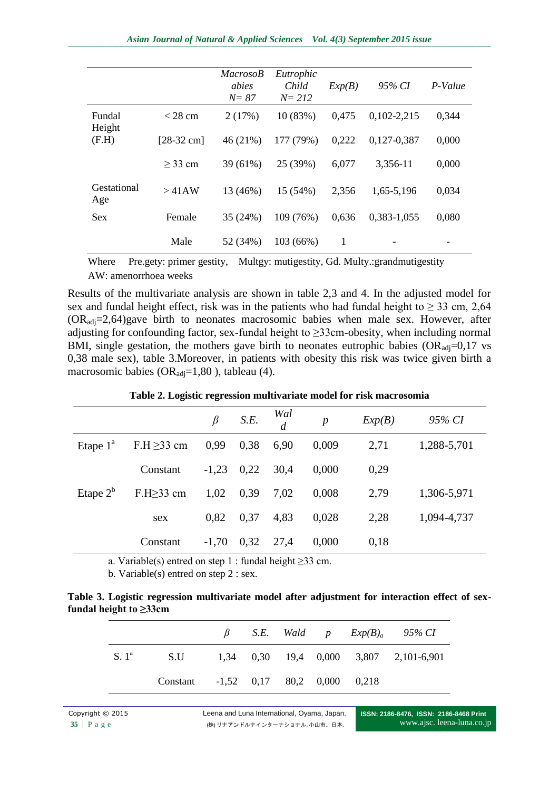|                    |                      | <b>MacrosoB</b><br>abies<br>$N = 87$ | Eutrophic<br>Child<br>$N = 212$ | Exp(B) | 95% CI          | P-Value |
|--------------------|----------------------|--------------------------------------|---------------------------------|--------|-----------------|---------|
| Fundal<br>Height   | $<$ 28 cm            | 2(17%)                               | 10 (83%)                        | 0,475  | $0,102 - 2,215$ | 0,344   |
| (F.H)              | $[28-32 \text{ cm}]$ | 46(21%)                              | 177 (79%)                       | 0,222  | 0,127-0,387     | 0,000   |
|                    | $\geq$ 33 cm         | 39 (61%)                             | 25 (39%)                        | 6,077  | 3,356-11        | 0,000   |
| Gestational<br>Age | >41AW                | 13 (46%)                             | 15 (54%)                        | 2,356  | 1,65-5,196      | 0,034   |
| <b>Sex</b>         | Female               | 35 (24%)                             | 109 (76%)                       | 0,636  | 0,383-1,055     | 0,080   |
|                    | Male                 | 52 (34%)                             | 103 (66%)                       | 1      |                 |         |

Where Pre.gety: primer gestity, Multgy: mutigestity, Gd. Multy.:grandmutigestity AW: amenorrhoea weeks

Results of the multivariate analysis are shown in table 2,3 and 4. In the adjusted model for sex and fundal height effect, risk was in the patients who had fundal height to  $\geq$  33 cm, 2,64  $(OR_{\text{adj}}=2,64)$ gave birth to neonates macrosomic babies when male sex. However, after adjusting for confounding factor, sex-fundal height to ≥33cm-obesity, when including normal BMI, single gestation, the mothers gave birth to neonates eutrophic babies  $OR_{\text{adi}}=0,17$  vs 0,38 male sex), table 3.Moreover, in patients with obesity this risk was twice given birth a macrosomic babies ( $OR_{\text{adj}}=1,80$ ), tableau (4).

|             |                  | $\beta$ | S.E. | Wal<br>$\overline{d}$ | $\boldsymbol{p}$ | Exp(B) | 95% CI      |
|-------------|------------------|---------|------|-----------------------|------------------|--------|-------------|
| Etape $1^a$ | $F.H \geq 33$ cm | 0,99    | 0,38 | 6,90                  | 0,009            | 2,71   | 1,288-5,701 |
|             | Constant         | $-1,23$ | 0,22 | 30,4                  | 0,000            | 0,29   |             |
| Etape $2^b$ | $F.H \geq 33$ cm | 1,02    | 0,39 | 7,02                  | 0,008            | 2,79   | 1,306-5,971 |
|             | sex              | 0,82    | 0,37 | 4,83                  | 0,028            | 2,28   | 1,094-4,737 |
|             | Constant         | $-1,70$ | 0,32 | 27,4                  | 0,000            | 0,18   |             |

**Table 2. Logistic regression multivariate model for risk macrosomia**

a. Variable(s) entred on step 1 : fundal height  $\geq$ 33 cm.

b. Variable(s) entred on step 2 : sex.

|                              | Table 3. Logistic regression multivariate model after adjustment for interaction effect of sex- |  |  |  |  |
|------------------------------|-------------------------------------------------------------------------------------------------|--|--|--|--|
| fundal height to $\geq$ 33cm |                                                                                                 |  |  |  |  |

|                  |                                      |  |  | $\beta$ S.E. Wald $p$ Exp(B) <sub>a</sub> 95% CI |
|------------------|--------------------------------------|--|--|--------------------------------------------------|
| S.1 <sup>a</sup> |                                      |  |  | S.U 1,34 0,30 19,4 0,000 3,807 2,101-6,901       |
|                  | Constant -1,52 0,17 80,2 0,000 0,218 |  |  |                                                  |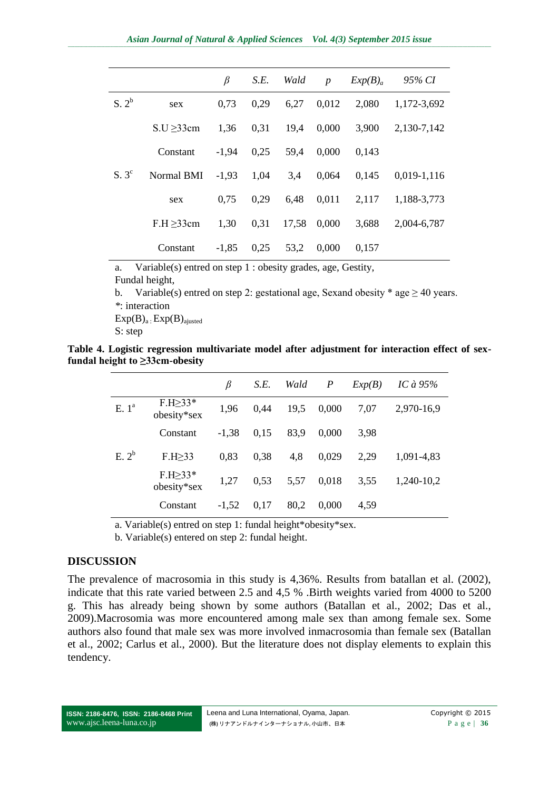|                   |                 | β       | S.E. | Wald  | $\boldsymbol{p}$ | Exp(B) <sub>a</sub> | 95% CI          |
|-------------------|-----------------|---------|------|-------|------------------|---------------------|-----------------|
| S. 2 <sup>b</sup> | sex             | 0,73    | 0.29 | 6,27  | 0,012            | 2,080               | 1,172-3,692     |
|                   | $S.U \geq 33cm$ | 1,36    | 0.31 | 19.4  | 0,000            | 3,900               | 2,130-7,142     |
|                   | Constant        | $-1,94$ | 0,25 | 59,4  | 0,000            | 0,143               |                 |
| $S.3^c$           | Normal BMI      | $-1,93$ | 1,04 | 3,4   | 0,064            | 0,145               | $0.019 - 1.116$ |
|                   | sex             | 0.75    | 0,29 | 6.48  | 0.011            | 2,117               | 1,188-3,773     |
|                   | $F.H \geq 33cm$ | 1,30    | 0,31 | 17,58 | 0,000            | 3,688               | 2,004-6,787     |
|                   | Constant        | $-1,85$ | 0,25 | 53,2  | 0,000            | 0,157               |                 |

a. Variable(s) entred on step 1 : obesity grades, age, Gestity,

Fundal height,

b. Variable(s) entred on step 2: gestational age, Sexand obesity \* age  $\geq$  40 years. *\**: interaction

 $Exp(B)<sub>a</sub>: Exp(B)<sub>ajusted</sub>$ 

S: step

**Table 4. Logistic regression multivariate model after adjustment for interaction effect of sexfundal height to ≥33cm-obesity**

|                   |                               | β       | S.E. | Wald | $\boldsymbol{P}$ | Exp(B) | IC à $95%$ |
|-------------------|-------------------------------|---------|------|------|------------------|--------|------------|
| E.1 <sup>a</sup>  | $F.H \geq 33*$<br>obesity*sex | 1,96    | 0,44 | 19,5 | 0,000            | 7,07   | 2,970-16,9 |
|                   | Constant                      | $-1,38$ | 0,15 | 83,9 | 0.000            | 3.98   |            |
| E. 2 <sup>b</sup> | $F.H \geq 33$                 | 0,83    | 0.38 | 4,8  | 0.029            | 2,29   | 1,091-4,83 |
|                   | $F.H \geq 33*$<br>obesity*sex | 1,27    | 0,53 | 5,57 | 0,018            | 3,55   | 1,240-10,2 |
|                   | Constant                      | $-1,52$ | 0,17 | 80,2 | 0,000            | 4,59   |            |

a. Variable(s) entred on step 1: fundal height\*obesity\*sex.

b. Variable(s) entered on step 2: fundal height.

### **DISCUSSION**

The prevalence of macrosomia in this study is 4,36%. Results from batallan et al. (2002), indicate that this rate varied between 2.5 and 4,5 % .Birth weights varied from 4000 to 5200 g. This has already being shown by some authors (Batallan et al., 2002; Das et al., 2009).Macrosomia was more encountered among male sex than among female sex. Some authors also found that male sex was more involved inmacrosomia than female sex (Batallan et al., 2002; Carlus et al., 2000). But the literature does not display elements to explain this tendency.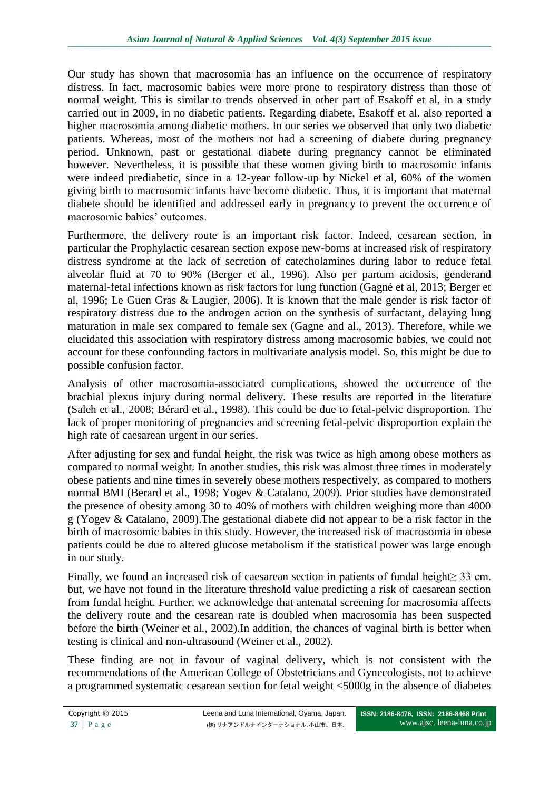Our study has shown that macrosomia has an influence on the occurrence of respiratory distress. In fact, macrosomic babies were more prone to respiratory distress than those of normal weight. This is similar to trends observed in other part of Esakoff et al, in a study carried out in 2009, in no diabetic patients. Regarding diabete, Esakoff et al. also reported a higher macrosomia among diabetic mothers. In our series we observed that only two diabetic patients. Whereas, most of the mothers not had a screening of diabete during pregnancy period. Unknown, past or gestational diabete during pregnancy cannot be eliminated however. Nevertheless, it is possible that these women giving birth to macrosomic infants were indeed prediabetic, since in a 12-year follow-up by Nickel et al, 60% of the women giving birth to macrosomic infants have become diabetic. Thus, it is important that maternal diabete should be identified and addressed early in pregnancy to prevent the occurrence of macrosomic babies' outcomes.

Furthermore, the delivery route is an important risk factor. Indeed, cesarean section, in particular the Prophylactic cesarean section expose new-borns at increased risk of respiratory distress syndrome at the lack of secretion of catecholamines during labor to reduce fetal alveolar fluid at 70 to 90% (Berger et al., 1996). Also per partum acidosis, genderand maternal-fetal infections known as risk factors for lung function (Gagné et al, 2013; Berger et al, 1996; Le Guen Gras & Laugier, 2006). It is known that the male gender is risk factor of respiratory distress due to the androgen action on the synthesis of surfactant, delaying lung maturation in male sex compared to female sex (Gagne and al., 2013). Therefore, while we elucidated this association with respiratory distress among macrosomic babies, we could not account for these confounding factors in multivariate analysis model. So, this might be due to possible confusion factor.

Analysis of other macrosomia-associated complications, showed the occurrence of the brachial plexus injury during normal delivery. These results are reported in the literature (Saleh et al., 2008; Bérard et al., 1998). This could be due to fetal-pelvic disproportion. The lack of proper monitoring of pregnancies and screening fetal-pelvic disproportion explain the high rate of caesarean urgent in our series.

After adjusting for sex and fundal height, the risk was twice as high among obese mothers as compared to normal weight. In another studies, this risk was almost three times in moderately obese patients and nine times in severely obese mothers respectively, as compared to mothers normal BMI (Berard et al., 1998; Yogev & Catalano, 2009). Prior studies have demonstrated the presence of obesity among 30 to 40% of mothers with children weighing more than 4000 g (Yogev & Catalano, 2009).The gestational diabete did not appear to be a risk factor in the birth of macrosomic babies in this study. However, the increased risk of macrosomia in obese patients could be due to altered glucose metabolism if the statistical power was large enough in our study.

Finally, we found an increased risk of caesarean section in patients of fundal height≥ 33 cm. but, we have not found in the literature threshold value predicting a risk of caesarean section from fundal height. Further, we acknowledge that antenatal screening for macrosomia affects the delivery route and the cesarean rate is doubled when macrosomia has been suspected before the birth (Weiner et al., 2002).In addition, the chances of vaginal birth is better when testing is clinical and non-ultrasound (Weiner et al., 2002).

These finding are not in favour of vaginal delivery, which is not consistent with the recommendations of the American College of Obstetricians and Gynecologists, not to achieve a programmed systematic cesarean section for fetal weight <5000g in the absence of diabetes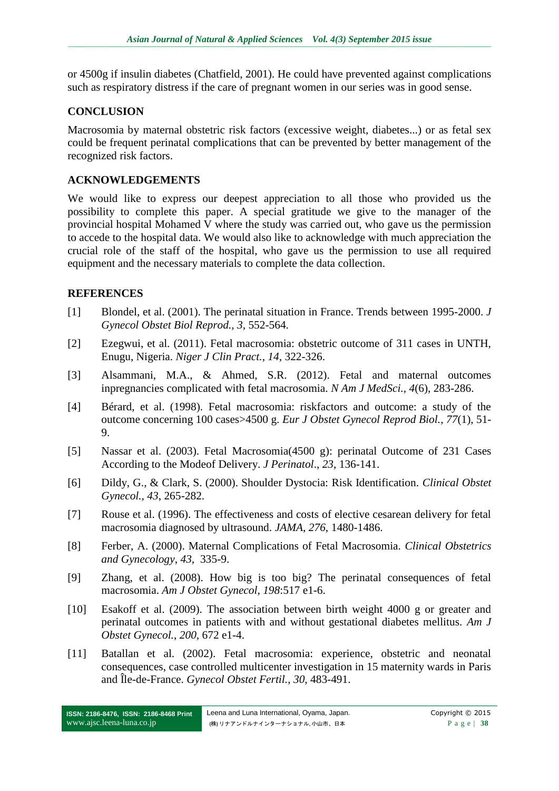or 4500g if insulin diabetes (Chatfield, 2001). He could have prevented against complications such as respiratory distress if the care of pregnant women in our series was in good sense.

### **CONCLUSION**

Macrosomia by maternal obstetric risk factors (excessive weight, diabetes...) or as fetal sex could be frequent perinatal complications that can be prevented by better management of the recognized risk factors.

## **ACKNOWLEDGEMENTS**

We would like to express our deepest appreciation to all those who provided us the possibility to complete this paper. A special gratitude we give to the manager of the provincial hospital Mohamed V where the study was carried out, who gave us the permission to accede to the hospital data. We would also like to acknowledge with much appreciation the crucial role of the staff of the hospital, who gave us the permission to use all required equipment and the necessary materials to complete the data collection.

## **REFERENCES**

- [1] Blondel, et al. (2001). The perinatal situation in France. Trends between 1995-2000. *J Gynecol Obstet Biol Reprod., 3,* 552-564.
- [2] Ezegwui, et al. (2011). Fetal macrosomia: obstetric outcome of 311 cases in UNTH, Enugu, Nigeria. *Niger J Clin Pract.*, *14,* 322-326.
- [3] Alsammani, M.A., & Ahmed, S.R. (2012). Fetal and maternal outcomes inpregnancies complicated with fetal macrosomia. *N Am J MedSci., 4*(6), 283-286.
- [4] Bérard, et al. (1998). Fetal macrosomia: riskfactors and outcome: a study of the outcome concerning 100 cases>4500 g. *Eur J Obstet Gynecol Reprod Biol., 77*(1), 51- 9.
- [5] Nassar et al. (2003). Fetal Macrosomia(4500 g): perinatal Outcome of 231 Cases According to the Modeof Delivery. *J Perinatol*., *23*, 136-141.
- [6] Dildy, G., & Clark, S. (2000). Shoulder Dystocia: Risk Identification. *Clinical Obstet Gynecol., 43*, 265-282.
- [7] Rouse et al. (1996). The effectiveness and costs of elective cesarean delivery for fetal macrosomia diagnosed by ultrasound. *JAMA*, *276*, 1480-1486.
- [8] Ferber, A. (2000). Maternal Complications of Fetal Macrosomia*. Clinical Obstetrics and Gynecology*, *43*, 335-9.
- [9] Zhang, et al. (2008). How big is too big? The perinatal consequences of fetal macrosomia. *Am J Obstet Gynecol*, *198*:517 e1-6.
- [10] Esakoff et al. (2009). The association between birth weight 4000 g or greater and perinatal outcomes in patients with and without gestational diabetes mellitus. *Am J Obstet Gynecol.*, *200*, 672 e1-4.
- [11] Batallan et al. (2002). Fetal macrosomia: experience, obstetric and neonatal consequences, case controlled multicenter investigation in 15 maternity wards in Paris and Île-de-France. *Gynecol Obstet Fertil.*, *30*, 483-491.